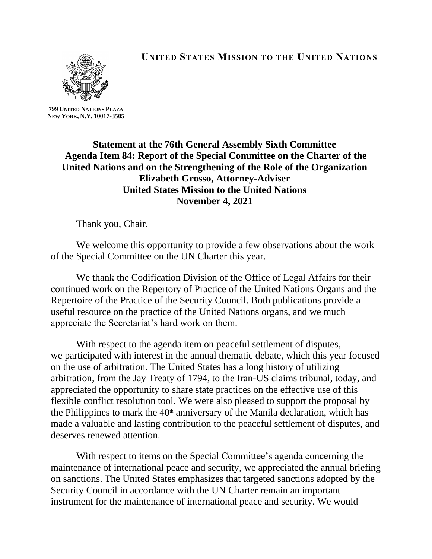

**UNITED STATES MISSION TO THE UNITED NATIONS**

**799 UNITED NATIONS PLAZA NEW YORK, N.Y. 10017-3505**

> **Statement at the 76th General Assembly Sixth Committee Agenda Item 84: Report of the Special Committee on the Charter of the United Nations and on the Strengthening of the Role of the Organization Elizabeth Grosso, Attorney-Adviser United States Mission to the United Nations November 4, 2021**

Thank you, Chair.

We welcome this opportunity to provide a few observations about the work of the Special Committee on the UN Charter this year.

We thank the Codification Division of the Office of Legal Affairs for their continued work on the Repertory of Practice of the United Nations Organs and the Repertoire of the Practice of the Security Council. Both publications provide a useful resource on the practice of the United Nations organs, and we much appreciate the Secretariat's hard work on them.

With respect to the agenda item on peaceful settlement of disputes, we participated with interest in the annual thematic debate, which this year focused on the use of arbitration. The United States has a long history of utilizing arbitration, from the Jay Treaty of 1794, to the Iran-US claims tribunal, today, and appreciated the opportunity to share state practices on the effective use of this flexible conflict resolution tool. We were also pleased to support the proposal by the Philippines to mark the  $40<sup>th</sup>$  anniversary of the Manila declaration, which has made a valuable and lasting contribution to the peaceful settlement of disputes, and deserves renewed attention.

With respect to items on the Special Committee's agenda concerning the maintenance of international peace and security, we appreciated the annual briefing on sanctions. The United States emphasizes that targeted sanctions adopted by the Security Council in accordance with the UN Charter remain an important instrument for the maintenance of international peace and security. We would